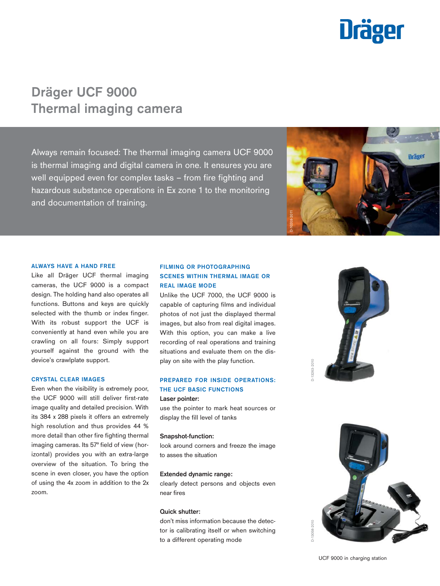

# Dräger UCF 9000 Thermal imaging camera

Always remain focused: The thermal imaging camera UCF 9000 is thermal imaging and digital camera in one. It ensures you are well equipped even for complex tasks – from fire fighting and hazardous substance operations in Ex zone 1 to the monitoring and documentation of training.



#### ALWAYS HAVE A HAND FREE

Like all Dräger UCF thermal imaging cameras, the UCF 9000 is a compact design. The holding hand also operates all functions. Buttons and keys are quickly selected with the thumb or index finger. With its robust support the UCF is conveniently at hand even while you are crawling on all fours: Simply support yourself against the ground with the device's crawlplate support.

#### CRYSTAL CLEAR IMAGES

Even when the visibility is extremely poor, the UCF 9000 will still deliver first-rate image quality and detailed precision. With its 384 x 288 pixels it offers an extremely high resolution and thus provides 44 % more detail than other fire fighting thermal imaging cameras. Its 57° field of view (horizontal) provides you with an extra-large overview of the situation. To bring the scene in even closer, you have the option of using the 4x zoom in addition to the 2x zoom.

### FILMING OR PHOTOGRAPHING SCENES WITHIN THERMAL IMAGE OR REAL IMAGE MODE

Unlike the UCF 7000, the UCF 9000 is capable of capturing films and individual photos of not just the displayed thermal images, but also from real digital images. With this option, you can make a live recording of real operations and training situations and evaluate them on the display on site with the play function.

### PREPARED FOR INSIDE OPERATIONS: THE UCF BASIC FUNCTIONS

### Laser pointer:

use the pointer to mark heat sources or display the fill level of tanks

#### Snapshot-function:

look around corners and freeze the image to asses the situation

#### Extended dynamic range:

clearly detect persons and objects even near fires

#### Quick shutter:

don't miss information because the detector is calibrating itself or when switching to a different operating mode





UCF 9000 in charging station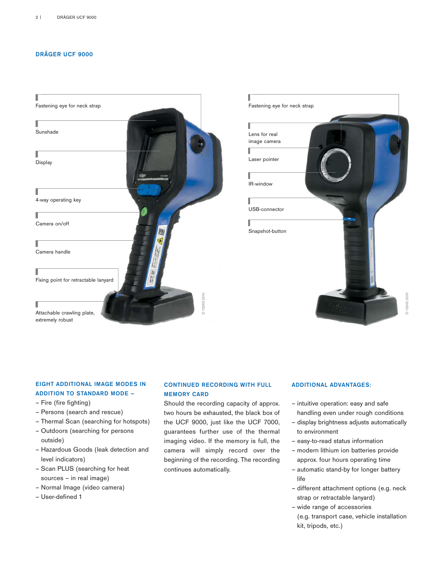### DRÄGER UCF 9000





## EIGHT ADDITIONAL IMAGE MODES IN ADDITION TO STANDARD MODE –

- Fire (fire fighting)
- Persons (search and rescue)
- Thermal Scan (searching for hotspots)
- Outdoors (searching for persons outside)
- Hazardous Goods (leak detection and level indicators)
- Scan PLUS (searching for heat sources – in real image)
- Normal Image (video camera)
- User-defined 1

### CONTINUED RECORDING WITH FULL MEMORY CARD

Should the recording capacity of approx. two hours be exhausted, the black box of the UCF 9000, just like the UCF 7000, guarantees further use of the thermal imaging video. If the memory is full, the camera will simply record over the beginning of the recording. The recording continues automatically.

### ADDITIONAL ADVANTAGES:

- intuitive operation: easy and safe handling even under rough conditions
- display brightness adjusts automatically to environment
- easy-to-read status information
- modern lithium ion batteries provide approx. four hours operating time
- automatic stand-by for longer battery life
- different attachment options (e.g. neck strap or retractable lanyard)
- wide range of accessories (e.g. transport case, vehicle installation kit, tripods, etc.)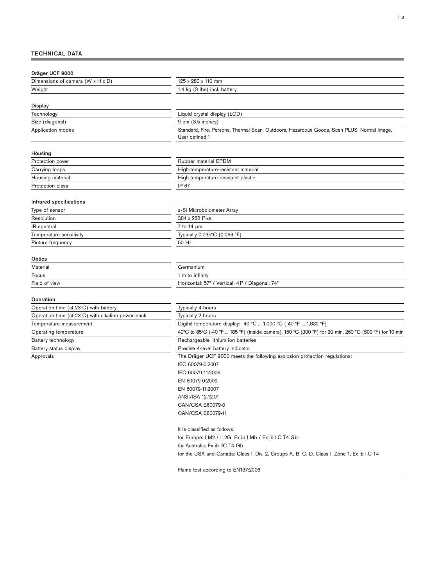### TECHNICAL DATA

| Dräger UCF 9000                                   |                                                                                                              |  |
|---------------------------------------------------|--------------------------------------------------------------------------------------------------------------|--|
| Dimensions of camera (W x H x D)                  | 125 x 280 x 110 mm                                                                                           |  |
| Weight                                            | 1.4 kg (3 lbs) incl. battery                                                                                 |  |
|                                                   |                                                                                                              |  |
| Display                                           |                                                                                                              |  |
| Technology                                        | Liquid crystal display (LCD)                                                                                 |  |
| Size (diagonal)                                   | 9 cm (3.5 inches)                                                                                            |  |
| Application modes                                 | Standard, Fire, Persons, Thermal Scan, Outdoors, Hazardous Goods, Scan PLUS, Normal Image,<br>User defined 1 |  |
| Housing                                           |                                                                                                              |  |
| <b>Protection cover</b>                           | Rubber material EPDM                                                                                         |  |
| Carrying loops                                    | High-temperature-resistant material                                                                          |  |
| Housing material                                  | High-temperature-resistant plastic                                                                           |  |
| <b>Protection class</b>                           | IP 67                                                                                                        |  |
| <b>Infrared specifications</b>                    |                                                                                                              |  |
| Type of sensor                                    | a-Si Microbolometer Array                                                                                    |  |
| Resolution                                        | 384 x 288 Pixel                                                                                              |  |
| IR spectral                                       | 7 to 14 $\mu$ m                                                                                              |  |
| Temperature sensitivity                           | Typically 0.035°C (0.063 °F)                                                                                 |  |
| Picture frequency                                 | 50 Hz                                                                                                        |  |
|                                                   |                                                                                                              |  |
| Optics                                            |                                                                                                              |  |
| Material                                          | Germanium                                                                                                    |  |
| Focus                                             | 1 m to infinity                                                                                              |  |
| Field of view                                     | Horizontal: 57° / Vertical: 41° / Diagonal: 74°                                                              |  |
|                                                   |                                                                                                              |  |
| Operation                                         |                                                                                                              |  |
| Operation time (at 23°C) with battery             | Typically 4 hours                                                                                            |  |
| Operation time (at 23°C) with alkaline power pack | Typically 2 hours                                                                                            |  |
| Temperature measurement                           | Digital temperature display: -40 °C  1,000 °C (-40 °F  1,832 °F)                                             |  |
| Operating temperature                             | 40°C to 85°C (-40 °F  185 °F) (inside camera), 150 °C (300 °F) for 20 min, 260 °C (500 °F) for 10 min        |  |
| Battery technology                                | Rechargeable lithium ion batteries                                                                           |  |
| Battery status display                            | Precise 4-level battery indicator                                                                            |  |
| Approvals                                         | The Dräger UCF 9000 meets the following explosion protection regulations:                                    |  |
|                                                   | IEC 60079-0:2007                                                                                             |  |
|                                                   | IEC 60079-11:2006                                                                                            |  |
|                                                   | EN 60079-0:2009                                                                                              |  |
|                                                   | EN 60079-11:2007                                                                                             |  |
|                                                   | ANSI/ISA 12.12.01                                                                                            |  |
|                                                   | CAN/CSA E60079-0                                                                                             |  |
|                                                   | CAN/CSA E60079-11                                                                                            |  |
|                                                   |                                                                                                              |  |
|                                                   | It is classified as follows:                                                                                 |  |
|                                                   | for Europe: I M2 / II 2G, Ex ib I Mb / Ex ib IIC T4 Gb                                                       |  |
|                                                   | for Australia: Ex ib IIC T4 Gb                                                                               |  |
|                                                   | for the USA and Canada: Class I, Div. 2, Groups A, B, C, D, Class I, Zone 1, Ex ib IIC T4                    |  |
|                                                   | Flame test according to EN137:2006                                                                           |  |
|                                                   |                                                                                                              |  |